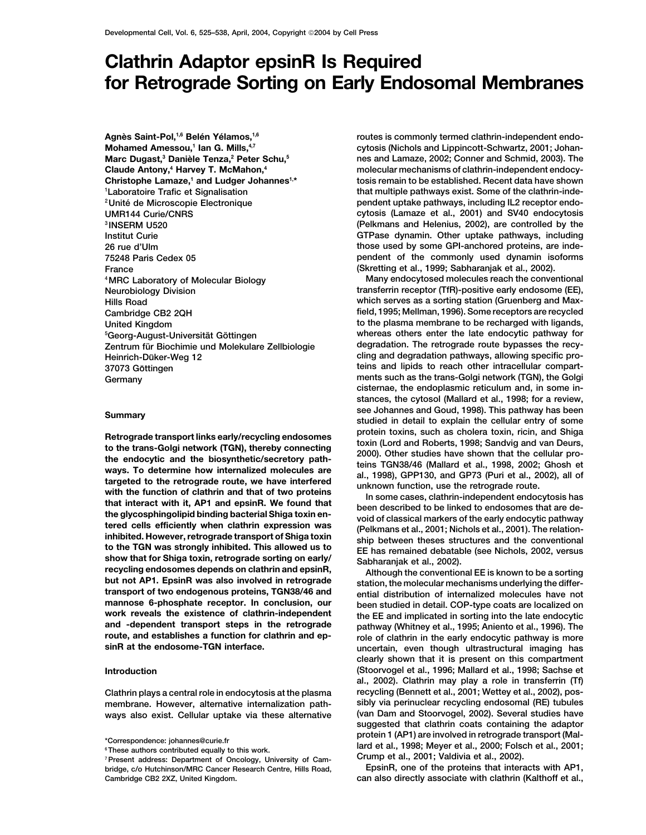# **Clathrin Adaptor epsinR Is Required for Retrograde Sorting on Early Endosomal Membranes**

**Agne` s Saint-Pol,1,6 Bele´ n Ye´ lamos,1,6 Mohamed Amessou,1 Ian G. Mills,4,7 Marc Dugast,3 Danie` le Tenza,2 Peter Schu,5 Laboratoire Trafic et Signalisation France (Skretting et al., 1999; Sabharanjak et al., 2002).** <sup>5</sup>Georg-August-Universität Göttingen **Zentrum fu degradation. The retrograde route bypasses the recy- ¨r Biochimie und Molekulare Zellbiologie**

Retrograde transport links early/recycling endosomes<br>
to the trans-Golgi network (TGN), thereby connecting<br>
to the trans-Golgi network (TGN), thereby connecting<br>
2000). Other studies have shown that the cellular pro-<br>
the **work reveals the existence of clathrin-independent the EE and implicated in sorting into the late endocytic and -dependent transport steps in the retrograde pathway (Whitney et al., 1995; Aniento et al., 1996). The**

**routes is commonly termed clathrin-independent endocytosis (Nichols and Lippincott-Schwartz, 2001; Johannes and Lamaze, 2002; Conner and Schmid, 2003). The Claude Antony,<sup>4</sup> Harvey T. McMahon,<sup>4</sup> <b>And Antony And Antony And Antony And Antony 4 H**arvey **T. McMahon,**<sup>4</sup> **4 4 And Antony And Antony 4 And Antony And Antony 4 And Antony 4 And Antony Christophe Lamaze,<sup>1</sup> and Ludger Johannes<sup>1,\*</sup> tosis remain to be established. Recent data have shown that multiple pathways exist. Some of the clathrin-inde- <sup>1</sup> pendent uptake pathways, including IL2 receptor endo- 2Unite´ de Microscopie Electronique UMR144 Curie/CNRS cytosis (Lamaze et al., 2001) and SV40 endocytosis <sup>3</sup> INSERM U520 (Pelkmans and Helenius, 2002), are controlled by the Institut Curie GTPase dynamin. Other uptake pathways, including 26 rue d'Ulm those used by some GPI-anchored proteins, are inde-75248 Paris Cedex 05 pendent of the commonly used dynamin isoforms**

**Many endocytosed molecules reach the conventional 4MRC Laboratory of Molecular Biology Neurobiology Division transferrin receptor (TfR)-positive early endosome (EE), Hills Road which serves as a sorting station (Gruenberg and Max-Cambridge CB2 2QH field, 1995; Mellman, 1996). Some receptors are recycled United Kingdom to the plasma membrane to be recharged with ligands,** whereas others enter the late endocytic pathway for degradation. The retrograde route bypasses the recy-**Heinrich-Düker-Weg 12 cling and degradation pathways, allowing specific pro-37073 Göttingen intervalse intervalse in the set of the set of the set of the set of the set of the set of the set of the set of the set of the set of the set of the set of the set of the set of the set of the set of th Germany ments such as the trans-Golgi network (TGN), the Golgi cisternae, the endoplasmic reticulum and, in some instances, the cytosol (Mallard et al., 1998; for a review, see Johannes and Goud, 1998). This pathway has been Summary studied in detail to explain the cellular entry of some**

**mannose 6-phosphate receptor. In conclusion, our** and a perial distribution of internalized molecules have not mannose 6-phosphate receptor. In conclusion, our been studied in detail. COP-type coats are localized on work **route, and establishes a function for clathrin and ep- role of clathrin in the early endocytic pathway is more sinR at the endosome-TGN interface. uncertain, even though ultrastructural imaging has clearly shown that it is present on this compartment Introduction (Stoorvogel et al., 1996; Mallard et al., 1998; Sachse et al., 2002). Clathrin may play a role in transferrin (Tf) Clathrin plays a central role in endocytosis at the plasma recycling (Bennett et al., 2001; Wettey et al., 2002), posmembrane. However, alternative internalization path- sibly via perinuclear recycling endosomal (RE) tubules ways also exist. Cellular uptake via these alternative (van Dam and Stoorvogel, 2002). Several studies have suggested that clathrin coats containing the adaptor** \*Correspondence: johannes@curie.fr<br><sup>6</sup>These authors contributed equally to this work.<br><sup>6</sup>These authors contributed equally to this work.<br><sup>7</sup>Present address: Department of Opcology, University of Cam.<br><sup>7</sup>Present address: De

<sup>&</sup>lt;sup>7</sup> Present address: Department of Oncology, University of Cam-<br> **Pricial Light Concology, University of Cam-**<br> **EpsinR, one of the proteins that interacts with AP1,**<br>
Pricial Light Concer Research Centre, Hills Road. bridge, c/o Hutchinson/MRC Cancer Research Centre, Hills Road, **Cambridge CB2 2XZ, United Kingdom. can also directly associate with clathrin (Kalthoff et al.,**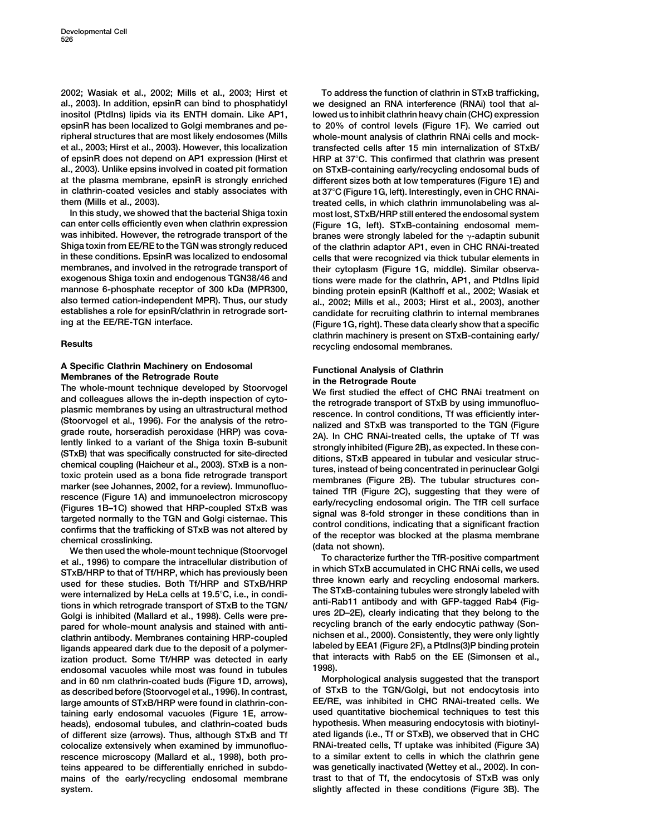**2002; Wasiak et al., 2002; Mills et al., 2003; Hirst et To address the function of clathrin in STxB trafficking, al., 2003). In addition, epsinR can bind to phosphatidyl we designed an RNA interference (RNAi) tool that alinositol (PtdIns) lipids via its ENTH domain. Like AP1, lowed us to inhibit clathrin heavy chain (CHC) expression epsinR has been localized to Golgi membranes and pe- to 20% of control levels (Figure 1F). We carried out ripheral structures that are most likely endosomes (Mills whole-mount analysis of clathrin RNAi cells and mocket al., 2003; Hirst et al., 2003). However, this localization transfected cells after 15 min internalization of STxB/ of epsinR does not depend on AP1 expression (Hirst et HRP at 37C. This confirmed that clathrin was present al., 2003). Unlike epsins involved in coated pit formation on STxB-containing early/recycling endosomal buds of at the plasma membrane, epsinR is strongly enriched different sizes both at low temperatures (Figure 1E) and in clathrin-coated vesicles and stably associates with at 37C (Figure 1G, left). Interestingly, even in CHC RNAi-**

**In this study, we showed that the bacterial Shiga toxin most lost, STxB/HRP still entered the endosomal system** was inhibited. However, the retrograde transport of the<br>**Shiga toxin from EE/RE** to the TGN was strongly reduced **in these conditions. EpsinR was localized to endosomal cells that were recognized via thick tubular elements in membranes, and involved in the retrograde transport of their cytoplasm (Figure 1G, middle). Similar observaexogenous Shiga toxin and endogenous TGN38/46 and tions were made for the clathrin, AP1, and PtdIns lipid mannose 6-phosphate receptor of 300 kDa (MPR300, binding protein epsinR (Kalthoff et al., 2002; Wasiak et also termed cation-independent MPR). Thus, our study al., 2002; Mills et al., 2003; Hirst et al., 2003), another establishes a role for epsinR/clathrin in retrograde sort- candidate for recruiting clathrin to internal membranes**

A Specific Clathrin Machinery on Endosomal<br>
Membranes of the Retrograde Route<br>
The whole-mount technique developed by Stoorvogel<br>
and colleagues allows the in-depth inspection of cyto-<br>
the retrograde transpect of CHC RNAi

used for these studies. Both Tf/HRP and STxB/HRP<br>were internalized by HeLa cells at 19.5°C, i.e., in condi-<br>tions in which retrograde transport of STxB to the TGN/<br>Goldi is inhibited (Mallard et al. 1998). Cells were pre-<br> **Golgi is inhibited (Mallard et al., 1998). Cells were pre- ures 2D–2E), clearly indicating that they belong to the** pared for whole-mount analysis and stained with anti-<br>clathrin antibody. Membranes containing HRP-coupled<br>ligands appeared dark due to the deposit of a polymer-<br>ization product. Some Tf/HRP was detected in early that inter **endosomal vacuoles while most was found in tubules 1998).** and in 60 nm clathrin-coated buds (Figure 1D, arrows), **as described before (Stoorvogel et al., 1996). In contrast, of STxB to the TGN/Golgi, but not endocytosis into large amounts of STxB/HRP were found in clathrin-con- EE/RE, was inhibited in CHC RNAi-treated cells. We taining early endosomal vacuoles (Figure 1E, arrow- used quantitative biochemical techniques to test this heads), endosomal tubules, and clathrin-coated buds hypothesis. When measuring endocytosis with biotinyl**of different size (arrows). Thus, although STxB and Tf **colocalize extensively when examined by immunofluo- RNAi-treated cells, Tf uptake was inhibited (Figure 3A) rescence microscopy (Mallard et al., 1998), both pro- to a similar extent to cells in which the clathrin gene teins appeared to be differentially enriched in subdo- was genetically inactivated (Wettey et al., 2002). In conmains of the early/recycling endosomal membrane trast to that of Tf, the endocytosis of STxB was only**

**them (Mills et al., 2003). treated cells, in which clathrin immunolabeling was al-(Figure 1G, left). STxB-containing endosomal mem**branes were strongly labeled for the  $\gamma$ -adaptin subunit of the clathrin adaptor AP1, even in CHC RNAi-treated **(Figure 1G, right). These data clearly show that a specific clathrin machinery is present on STxB-containing early/ Results recycling endosomal membranes.**

and colleagues allows the in-depth inspection of cytomathem the etrograde transport of STxB by using immunofluo-<br>plasmic membranes by using immunofluo-<br>grade route, horseradish peroxidase (HRP) was cova-<br>(Stoorvogel et al.

**system. slightly affected in these conditions (Figure 3B). The**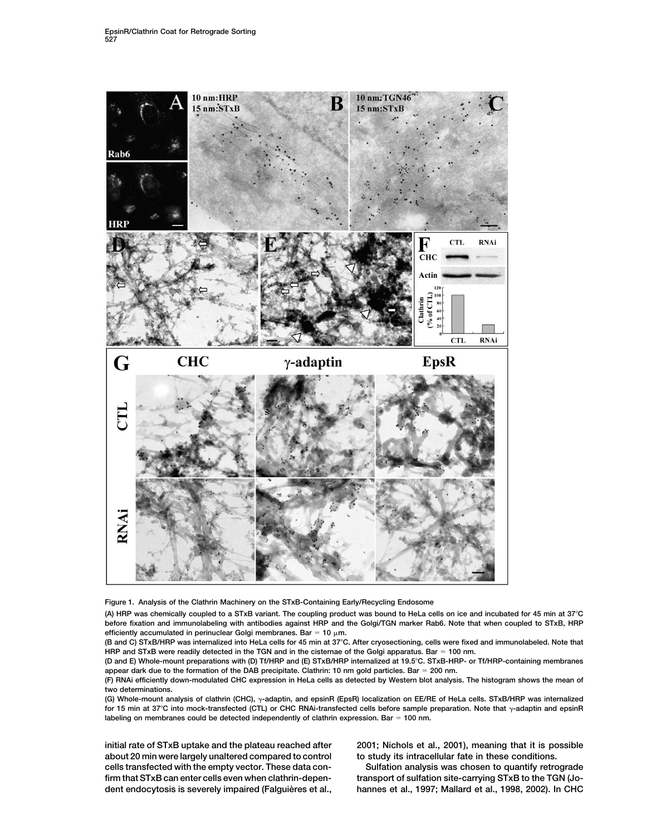

**Figure 1. Analysis of the Clathrin Machinery on the STxB-Containing Early/Recycling Endosome**

**(A) HRP was chemically coupled to a STxB variant. The coupling product was bound to HeLa cells on ice and incubated for 45 min at 37C before fixation and immunolabeling with antibodies against HRP and the Golgi/TGN marker Rab6. Note that when coupled to STxB, HRP** efficiently accumulated in perinuclear Golgi membranes. Bar =  $10 \mu m$ .

**(B and C) STxB/HRP was internalized into HeLa cells for 45 min at 37C. After cryosectioning, cells were fixed and immunolabeled. Note that HRP and STxB were readily detected in the TGN and in the cisternae of the Golgi apparatus. Bar 100 nm.**

**(D and E) Whole-mount preparations with (D) Tf/HRP and (E) STxB/HRP internalized at 19.5C. STxB-HRP- or Tf/HRP-containing membranes appear dark due to the formation of the DAB precipitate. Clathrin: 10 nm gold particles. Bar 200 nm.**

**(F) RNAi efficiently down-modulated CHC expression in HeLa cells as detected by Western blot analysis. The histogram shows the mean of two determinations.**

(G) Whole-mount analysis of clathrin (CHC),  $\gamma$ -adaptin, and epsinR (EpsR) localization on EE/RE of HeLa cells. STxB/HRP was internalized for 15 min at 37°C into mock-transfected (CTL) or CHC RNAi-transfected cells before sample preparation. Note that  $\gamma$ -adaptin and epsinR **labeling on membranes could be detected independently of clathrin expression. Bar 100 nm.**

**about 20 min were largely unaltered compared to control to study its intracellular fate in these conditions. cells transfected with the empty vector. These data con- Sulfation analysis was chosen to quantify retrograde**

**initial rate of STxB uptake and the plateau reached after 2001; Nichols et al., 2001), meaning that it is possible**

**firm that STxB can enter cells even when clathrin-depen- transport of sulfation site-carrying STxB to the TGN (Jo**dent endocytosis is severely impaired (Falguières et al., hannes et al., 1997; Mallard et al., 1998, 2002). In CHC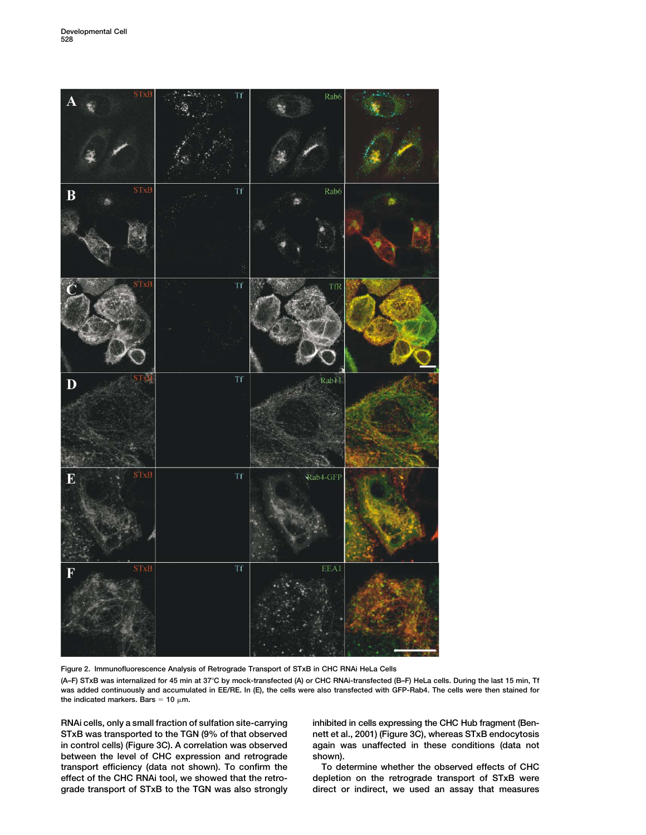

**Figure 2. Immunofluorescence Analysis of Retrograde Transport of STxB in CHC RNAi HeLa Cells**

**(A–F) STxB was internalized for 45 min at 37C by mock-transfected (A) or CHC RNAi-transfected (B–F) HeLa cells. During the last 15 min, Tf was added continuously and accumulated in EE/RE. In (E), the cells were also transfected with GFP-Rab4. The cells were then stained for** the indicated markers. Bars  $= 10 \mu m$ .

**STxB was transported to the TGN (9% of that observed nett et al., 2001) (Figure 3C), whereas STxB endocytosis in control cells) (Figure 3C). A correlation was observed again was unaffected in these conditions (data not between the level of CHC expression and retrograde shown).** transport efficiency (data not shown). To confirm the To determine whether the observed effects of CHC<br>effect of the CHC RNAi tool, we showed that the retro-<br>depletion on the retrograde transport of STxB were

**RNAi cells, only a small fraction of sulfation site-carrying inhibited in cells expressing the CHC Hub fragment (Ben-**

depletion on the retrograde transport of STxB were **grade transport of STxB to the TGN was also strongly direct or indirect, we used an assay that measures**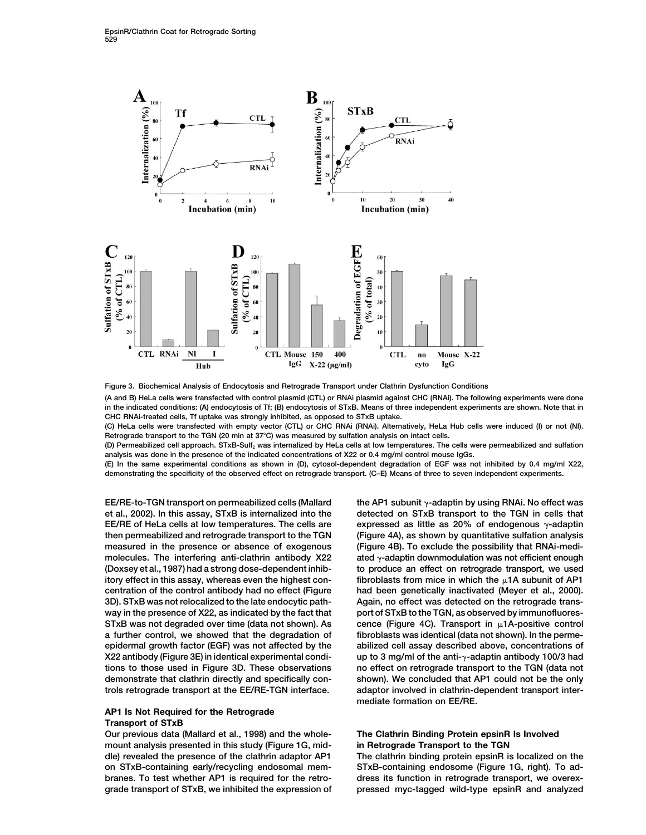

**Figure 3. Biochemical Analysis of Endocytosis and Retrograde Transport under Clathrin Dysfunction Conditions (A and B) HeLa cells were transfected with control plasmid (CTL) or RNAi plasmid against CHC (RNAi). The following experiments were done in the indicated conditions: (A) endocytosis of Tf; (B) endocytosis of STxB. Means of three independent experiments are shown. Note that in CHC RNAi-treated cells, Tf uptake was strongly inhibited, as opposed to STxB uptake.**

**(C) HeLa cells were transfected with empty vector (CTL) or CHC RNAi (RNAi). Alternatively, HeLa Hub cells were induced (I) or not (NI). Retrograde transport to the TGN (20 min at 37C) was measured by sulfation analysis on intact cells.**

**(D) Permeabilized cell approach. STxB-Sulf2 was internalized by HeLa cells at low temperatures. The cells were permeabilized and sulfation analysis was done in the presence of the indicated concentrations of X22 or 0.4 mg/ml control mouse IgGs.**

**(E) In the same experimental conditions as shown in (D), cytosol-dependent degradation of EGF was not inhibited by 0.4 mg/ml X22, demonstrating the specificity of the observed effect on retrograde transport. (C–E) Means of three to seven independent experiments.**

**EE/RE-to-TGN transport on permeabilized cells (Mallard et al., 2002). In this assay, STxB is internalized into the detected on STxB transport to the TGN in cells that EE/RE of HeLa cells at low temperatures. The cells are then permeabilized and retrograde transport to the TGN (Figure 4A), as shown by quantitative sulfation analysis measured in the presence or absence of exogenous (Figure 4B). To exclude the possibility that RNAi-medi**molecules. The interfering anti-clathrin antibody X22 **(Doxsey et al., 1987) had a strong dose-dependent inhib- to produce an effect on retrograde transport, we used itory effect in this assay, whereas even the highest con- fibroblasts from mice in which the 1A subunit of AP1 centration of the control antibody had no effect (Figure had been genetically inactivated (Meyer et al., 2000). 3D). STxB was not relocalized to the late endocytic path- Again, no effect was detected on the retrograde trans**way in the presence of X22, as indicated by the fact that port of STxB to the TGN, as observed by immunofluores-**STxB was not degraded over time (data not shown). As cence (Figure 4C). Transport in 1A-positive control a further control, we showed that the degradation of fibroblasts was identical (data not shown). In the perme-X22 antibody (Figure 3E) in identical experimental condidemonstrate that clathrin directly and specifically con- shown). We concluded that AP1 could not be the only trols retrograde transport at the EE/RE-TGN interface. adaptor involved in clathrin-dependent transport inter-**

# **AP1 Is Not Required for the Retrograde Transport of STxB**

**Our previous data (Mallard et al., 1998) and the whole- The Clathrin Binding Protein epsinR Is Involved mount analysis presented in this study (Figure 1G, mid- in Retrograde Transport to the TGN dle) revealed the presence of the clathrin adaptor AP1 The clathrin binding protein epsinR is localized on the on STxB-containing early/recycling endosomal mem- STxB-containing endosome (Figure 1G, right). To adbranes. To test whether AP1 is required for the retro- dress its function in retrograde transport, we overex-**

the AP1 subunit y-adaptin by using RNAi. No effect was expressed as little as 20% of endogenous  $\gamma$ -adaptin **-adaptin downmodulation was not efficient enough epidermal growth factor (EGF) was not affected by the abilized cell assay described above, concentrations of** up to 3 mg/ml of the anti- $\gamma$ -adaptin antibody 100/3 had **tions to those used in Figure 3D. These observations no effect on retrograde transport to the TGN (data not mediate formation on EE/RE.**

**grade transport of STxB, we inhibited the expression of pressed myc-tagged wild-type epsinR and analyzed**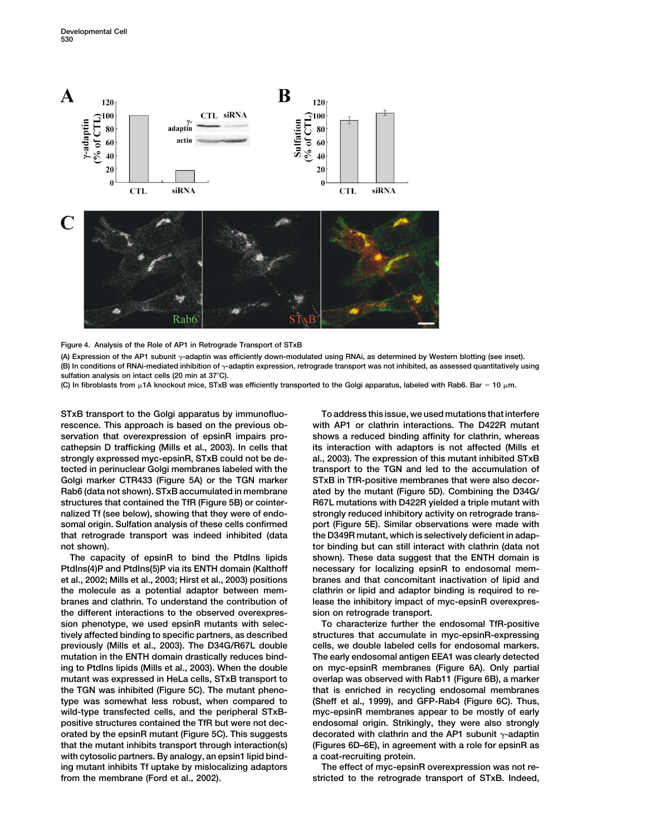

## **Figure 4. Analysis of the Role of AP1 in Retrograde Transport of STxB**

(A) Expression of the AP1 subunit <sub>Y</sub>-adaptin was efficiently down-modulated using RNAi, as determined by Western blotting (see inset). (B) In conditions of RNAi-mediated inhibition of <sub>Y</sub>-adaptin expression, retrograde transport was not inhibited, as assessed quantitatively using **sulfation analysis on intact cells (20 min at 37C).**

**(C) In fibroblasts from 1A knockout mice, STxB was efficiently transported to the Golgi apparatus, labeled with Rab6. Bar 10 m.**

**rescence. This approach is based on the previous ob- with AP1 or clathrin interactions. The D422R mutant servation that overexpression of epsinR impairs pro- shows a reduced binding affinity for clathrin, whereas cathepsin D trafficking (Mills et al., 2003). In cells that its interaction with adaptors is not affected (Mills et strongly expressed myc-epsinR, STxB could not be de- al., 2003). The expression of this mutant inhibited STxB tected in perinuclear Golgi membranes labeled with the transport to the TGN and led to the accumulation of** Golgi marker CTR433 (Figure 5A) or the TGN marker STxB in TfR-positive membranes that were also decor-**Rab6 (data not shown). STxB accumulated in membrane ated by the mutant (Figure 5D). Combining the D34G/ structures that contained the TfR (Figure 5B) or cointer- R67L mutations with D422R yielded a triple mutant with nalized Tf (see below), showing that they were of endo- strongly reduced inhibitory activity on retrograde transsomal origin. Sulfation analysis of these cells confirmed port (Figure 5E). Similar observations were made with that retrograde transport was indeed inhibited (data the D349R mutant, which is selectively deficient in adapnot shown). tor binding but can still interact with clathrin (data not**

PtdIns(4)P and PtdIns(5)P via its ENTH domain (Kalthoff necessary for localizing epsinR to endosomal mem**et al., 2002; Mills et al., 2003; Hirst et al., 2003) positions branes and that concomitant inactivation of lipid and the molecule as a potential adaptor between mem- clathrin or lipid and adaptor binding is required to rebranes and clathrin. To understand the contribution of lease the inhibitory impact of myc-epsinR overexpresthe different interactions to the observed overexpres- sion on retrograde transport. sion phenotype, we used epsinR mutants with selec- To characterize further the endosomal TfR-positive tively affected binding to specific partners, as described structures that accumulate in myc-epsinR-expressing previously (Mills et al., 2003). The D34G/R67L double cells, we double labeled cells for endosomal markers. mutation in the ENTH domain drastically reduces bind- The early endosomal antigen EEA1 was clearly detected ing to PtdIns lipids (Mills et al., 2003). When the double on myc-epsinR membranes (Figure 6A). Only partial mutant was expressed in HeLa cells, STxB transport to overlap was observed with Rab11 (Figure 6B), a marker the TGN was inhibited (Figure 5C). The mutant pheno- that is enriched in recycling endosomal membranes type was somewhat less robust, when compared to (Sheff et al., 1999), and GFP-Rab4 (Figure 6C). Thus, wild-type transfected cells, and the peripheral STxB- myc-epsinR membranes appear to be mostly of early positive structures contained the TfR but were not dec- endosomal origin. Strikingly, they were also strongly orated by the epsinR mutant (Figure 5C). This suggests that the mutant inhibits transport through interaction(s) (Figures 6D–6E), in agreement with a role for epsinR as with cytosolic partners. By analogy, an epsin1 lipid bind- a coat-recruiting protein.** ing mutant inhibits Tf uptake by mislocalizing adaptors The effect of myc-epsinR overexpression was not re**from the membrane (Ford et al., 2002). stricted to the retrograde transport of STxB. Indeed,**

**STxB transport to the Golgi apparatus by immunofluo- To address this issue, we used mutations that interfere The capacity of epsinR to bind the PtdIns lipids shown). These data suggest that the ENTH domain is**

decorated with clathrin and the AP1 subunit  $\gamma$ -adaptin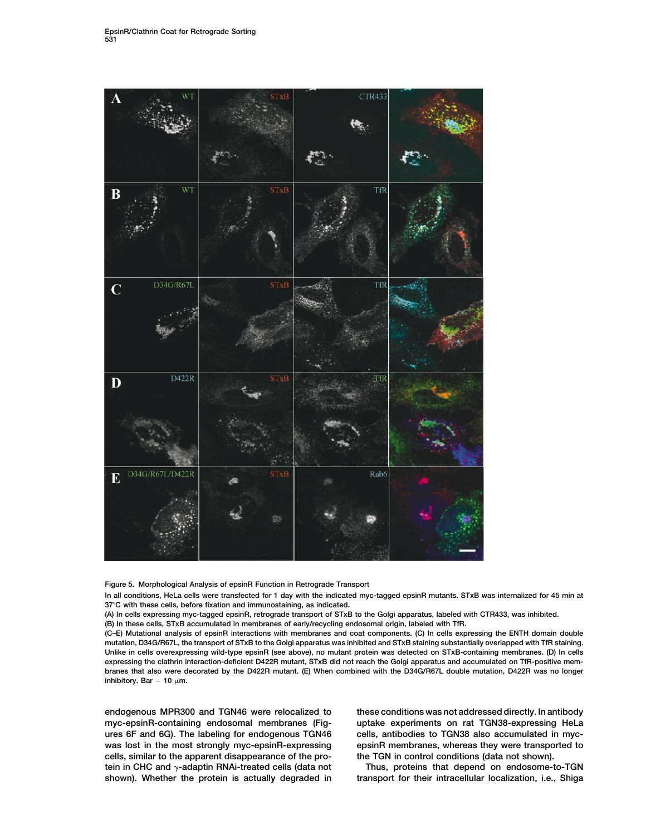

**Figure 5. Morphological Analysis of epsinR Function in Retrograde Transport**

**In all conditions, HeLa cells were transfected for 1 day with the indicated myc-tagged epsinR mutants. STxB was internalized for 45 min at 37C with these cells, before fixation and immunostaining, as indicated.**

**(A) In cells expressing myc-tagged epsinR, retrograde transport of STxB to the Golgi apparatus, labeled with CTR433, was inhibited.**

**(B) In these cells, STxB accumulated in membranes of early/recycling endosomal origin, labeled with TfR.**

**(C–E) Mutational analysis of epsinR interactions with membranes and coat components. (C) In cells expressing the ENTH domain double mutation, D34G/R67L, the transport of STxB to the Golgi apparatus was inhibited and STxB staining substantially overlapped with TfR staining. Unlike in cells overexpressing wild-type epsinR (see above), no mutant protein was detected on STxB-containing membranes. (D) In cells expressing the clathrin interaction-deficient D422R mutant, STxB did not reach the Golgi apparatus and accumulated on TfR-positive membranes that also were decorated by the D422R mutant. (E) When combined with the D34G/R67L double mutation, D422R was no longer inhibitory.** Bar = 10  $\mu$ m.

**myc-epsinR-containing endosomal membranes (Fig- uptake experiments on rat TGN38-expressing HeLa** ures 6F and 6G). The labeling for endogenous TGN46 cells, antibodies to TGN38 also accumulated in myc**was lost in the most strongly myc-epsinR-expressing epsinR membranes, whereas they were transported to cells, similar to the apparent disappearance of the pro- the TGN in control conditions (data not shown).** tein in CHC and  $\gamma$ -adaptin RNAi-treated cells (data not **shown). Whether the protein is actually degraded in transport for their intracellular localization, i.e., Shiga**

**endogenous MPR300 and TGN46 were relocalized to these conditions was not addressed directly. In antibody**

Thus, proteins that depend on endosome-to-TGN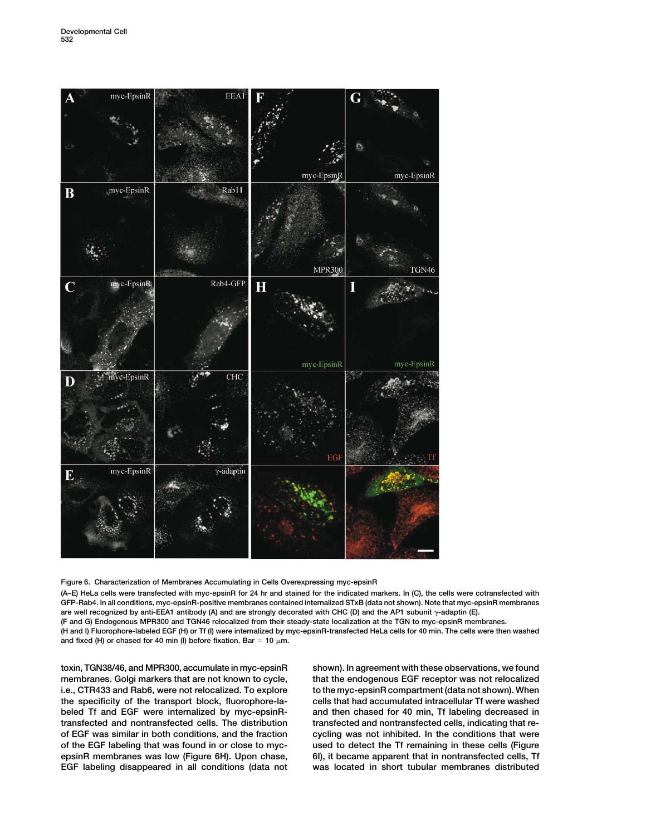

**Figure 6. Characterization of Membranes Accumulating in Cells Overexpressing myc-epsinR**

**(A–E) HeLa cells were transfected with myc-epsinR for 24 hr and stained for the indicated markers. In (C), the cells were cotransfected with GFP-Rab4. In all conditions, myc-epsinR-positive membranes contained internalized STxB (data not shown). Note that myc-epsinR membranes** are well recognized by anti-EEA1 antibody (A) and are strongly decorated with CHC (D) and the AP1 subunit  $\gamma$ -adaptin (E).

**(F and G) Endogenous MPR300 and TGN46 relocalized from their steady-state localization at the TGN to myc-epsinR membranes.**

**(H and I) Fluorophore-labeled EGF (H) or Tf (I) were internalized by myc-epsinR-transfected HeLa cells for 40 min. The cells were then washed** and fixed (H) or chased for 40 min (I) before fixation. Bar =  $10 \mu m$ .

**toxin, TGN38/46, and MPR300, accumulate in myc-epsinR shown). In agreement with these observations, we found membranes. Golgi markers that are not known to cycle, that the endogenous EGF receptor was not relocalized** i.e., CTR433 and Rab6, were not relocalized. To explore to the myc-epsinR compartment (data not shown). When **the specificity of the transport block, fluorophore-la- cells that had accumulated intracellular Tf were washed beled Tf and EGF were internalized by myc-epsinR- and then chased for 40 min, Tf labeling decreased in transfected and nontransfected cells. The distribution transfected and nontransfected cells, indicating that reof EGF was similar in both conditions, and the fraction cycling was not inhibited. In the conditions that were of the EGF labeling that was found in or close to myc- used to detect the Tf remaining in these cells (Figure epsinR membranes was low (Figure 6H). Upon chase, 6I), it became apparent that in nontransfected cells, Tf EGF labeling disappeared in all conditions (data not was located in short tubular membranes distributed**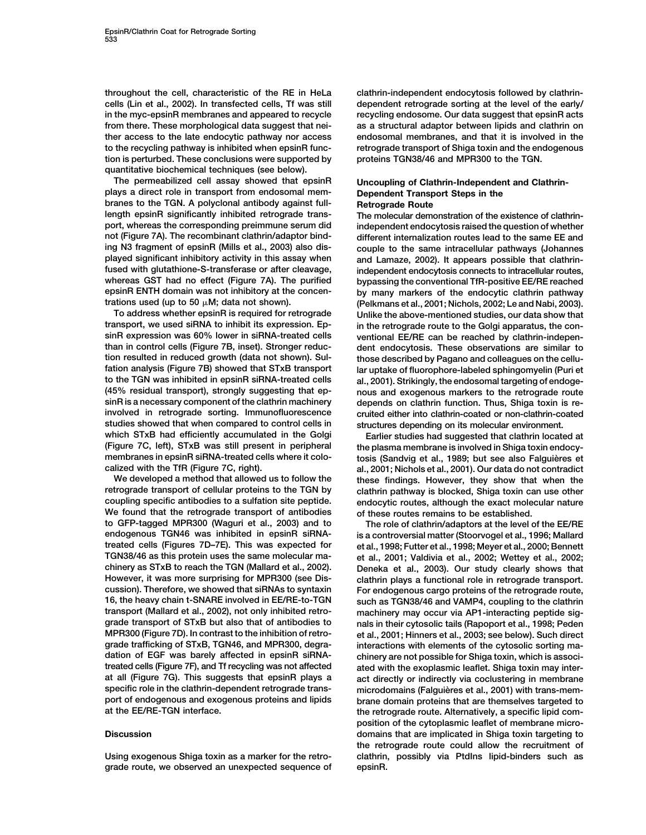**throughout the cell, characteristic of the RE in HeLa clathrin-independent endocytosis followed by clathrincells (Lin et al., 2002). In transfected cells, Tf was still dependent retrograde sorting at the level of the early/** in the myc-epsinR membranes and appeared to recycle recycling endosome. Our data suggest that epsinR acts **from there. These morphological data suggest that nei- as a structural adaptor between lipids and clathrin on ther access to the late endocytic pathway nor access endosomal membranes, and that it is involved in the to the recycling pathway is inhibited when epsinR func- retrograde transport of Shiga toxin and the endogenous tion is perturbed. These conclusions were supported by proteins TGN38/46 and MPR300 to the TGN. quantitative biochemical techniques (see below).**

**The permeabilized cell assay showed that epsinR Uncoupling of Clathrin-Independent and Clathrinplays a direct role in transport from endosomal mem- Dependent Transport Steps in the** branes to the TGN. A polyclonal antibody against full-<br>Retrograde Route **length epsinR significantly inhibited retrograde trans- The molecular demonstration of the existence of clathrinport, whereas the corresponding preimmune serum did independent endocytosis raised the question of whether not (Figure 7A). The recombinant clathrin/adaptor bind- different internalization routes lead to the same EE and played significant inhibitory activity in this assay when and Lamaze, 2002). It appears possible that clathrinfused with glutathione-S-transferase or after cleavage, independent endocytosis connects to intracellular routes, whereas GST had no effect (Figure 7A). The purified bypassing the conventional TfR-positive EE/RE reached epsinR ENTH domain was not inhibitory at the concen- by many markers of the endocytic clathrin pathway**

**transport, we used siRNA to inhibit its expression. Ep- in the retrograde route to the Golgi apparatus, the consinR expression was 60% lower in siRNA-treated cells ventional EE/RE can be reached by clathrin-indepenthan in control cells (Figure 7B, inset). Stronger reduc- dent endocytosis. These observations are similar to tion resulted in reduced growth (data not shown). Sul- those described by Pagano and colleagues on the celluto the TGN was inhibited in epsinR siRNA-treated cells al., 2001). Strikingly, the endosomal targeting of endoge- (45% residual transport), strongly suggesting that ep- nous and exogenous markers to the retrograde route sinR is a necessary component of the clathrin machinery depends on clathrin function. Thus, Shiga toxin is reinvolved in retrograde sorting. Immunofluorescence cruited either into clathrin-coated or non-clathrin-coated studies showed that when compared to control cells in structures depending on its molecular environment. which STxB had efficiently accumulated in the Golgi Earlier studies had suggested that clathrin located at (Figure 7C, left), STxB was still present in peripheral the plasma membrane is involved in Shiga toxin endocymembranes in epsinR siRNA-treated cells where it colo- tosis (Sandvig et al., 1989; but see also Falguie`res et**

**retrograde transport of cellular proteins to the TGN by clathrin pathway is blocked, Shiga toxin can use other coupling specific antibodies to a sulfation site peptide. endocytic routes, although the exact molecular nature We found that the retrograde transport of antibodies of these routes remains to be established. endogenous TGN46 was inhibited in epsinR siRNA- is a controversial matter (Stoorvogel et al., 1996; Mallard treated cells (Figures 7D–7E). This was expected for et al., 1998; Futter et al., 1998; Meyer et al., 2000; Bennett TGN38/46 as this protein uses the same molecular ma- et al., 2001; Valdivia et al., 2002; Wettey et al., 2002; chinery as STxB to reach the TGN (Mallard et al., 2002). Deneka et al., 2003). Our study clearly shows that However, it was more surprising for MPR300 (see Dis- clathrin plays a functional role in retrograde transport. 16, the heavy chain t-SNARE involved in EE/RE-to-TGN such as TGN38/46 and VAMP4, coupling to the clathrin transport (Mallard et al., 2002), not only inhibited retro- machinery may occur via AP1-interacting peptide siggrade transport of STxB but also that of antibodies to nals in their cytosolic tails (Rapoport et al., 1998; Peden MPR300 (Figure 7D). In contrast to the inhibition of retro- et al., 2001; Hinners et al., 2003; see below). Such direct grade trafficking of STxB, TGN46, and MPR300, degra- interactions with elements of the cytosolic sorting madation of EGF was barely affected in epsinR siRNA- chinery are not possible for Shiga toxin, which is associtreated cells (Figure 7F), and Tf recycling was not affected ated with the exoplasmic leaflet. Shiga toxin may interat all (Figure 7G). This suggests that epsinR plays a act directly or indirectly via coclustering in membrane** specific role in the clathrin-dependent retrograde trans-<br>microdomains (Falguières et al., 2001) with trans-mem-

**Using exogenous Shiga toxin as a marker for the retro- clathrin, possibly via PtdIns lipid-binders such as grade route, we observed an unexpected sequence of epsinR.**

**ing N3 fragment of epsinR (Mills et al., 2003) also dis- couple to the same intracellular pathways (Johannes trations used (up to 50 M; data not shown). (Pelkmans et al., 2001; Nichols, 2002; Le and Nabi, 2003). To address whether epsinR is required for retrograde Unlike the above-mentioned studies, our data show that fation analysis (Figure 7B) showed that STxB transport lar uptake of fluorophore-labeled sphingomyelin (Puri et**

**calized with the TfR (Figure 7C, right). al., 2001; Nichols et al., 2001). Our data do not contradict We developed a method that allowed us to follow the these findings. However, they show that when the**

The role of clathrin/adaptors at the level of the EE/RE For endogenous cargo proteins of the retrograde route, **port of endogenous and exogenous proteins and lipids brane domain proteins that are themselves targeted to** the retrograde route. Alternatively, a specific lipid com**position of the cytoplasmic leaflet of membrane micro-Discussion domains that are implicated in Shiga toxin targeting to the retrograde route could allow the recruitment of**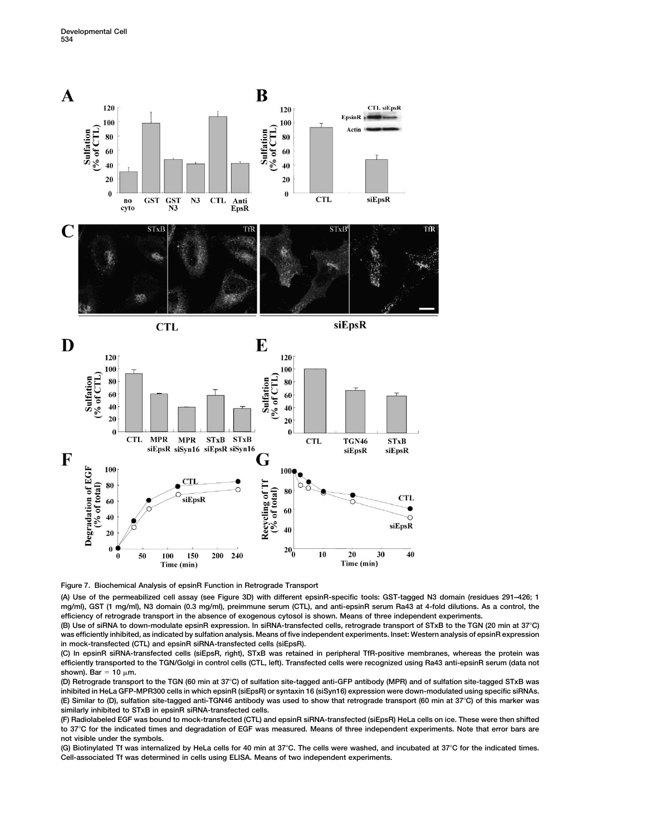





**(A) Use of the permeabilized cell assay (see Figure 3D) with different epsinR-specific tools: GST-tagged N3 domain (residues 291–426; 1 mg/ml), GST (1 mg/ml), N3 domain (0.3 mg/ml), preimmune serum (CTL), and anti-epsinR serum Ra43 at 4-fold dilutions. As a control, the efficiency of retrograde transport in the absence of exogenous cytosol is shown. Means of three independent experiments.**

**(B) Use of siRNA to down-modulate epsinR expression. In siRNA-transfected cells, retrograde transport of STxB to the TGN (20 min at 37C) was efficiently inhibited, as indicated by sulfation analysis. Means of five independent experiments. Inset: Western analysis of epsinR expression in mock-transfected (CTL) and epsinR siRNA-transfected cells (siEpsR).**

**(C) In epsinR siRNA-transfected cells (siEpsR, right), STxB was retained in peripheral TfR-positive membranes, whereas the protein was efficiently transported to the TGN/Golgi in control cells (CTL, left). Transfected cells were recognized using Ra43 anti-epsinR serum (data not** shown). Bar =  $10 \mu m$ .

**(D) Retrograde transport to the TGN (60 min at 37C) of sulfation site-tagged anti-GFP antibody (MPR) and of sulfation site-tagged STxB was inhibited in HeLa GFP-MPR300 cells in which epsinR (siEpsR) or syntaxin 16 (siSyn16) expression were down-modulated using specific siRNAs. (E) Similar to (D), sulfation site-tagged anti-TGN46 antibody was used to show that retrograde transport (60 min at 37C) of this marker was similarly inhibited to STxB in epsinR siRNA-transfected cells.**

**(F) Radiolabeled EGF was bound to mock-transfected (CTL) and epsinR siRNA-transfected (siEpsR) HeLa cells on ice. These were then shifted to 37C for the indicated times and degradation of EGF was measured. Means of three independent experiments. Note that error bars are not visible under the symbols.**

**(G) Biotinylated Tf was internalized by HeLa cells for 40 min at 37C. The cells were washed, and incubated at 37C for the indicated times. Cell-associated Tf was determined in cells using ELISA. Means of two independent experiments.**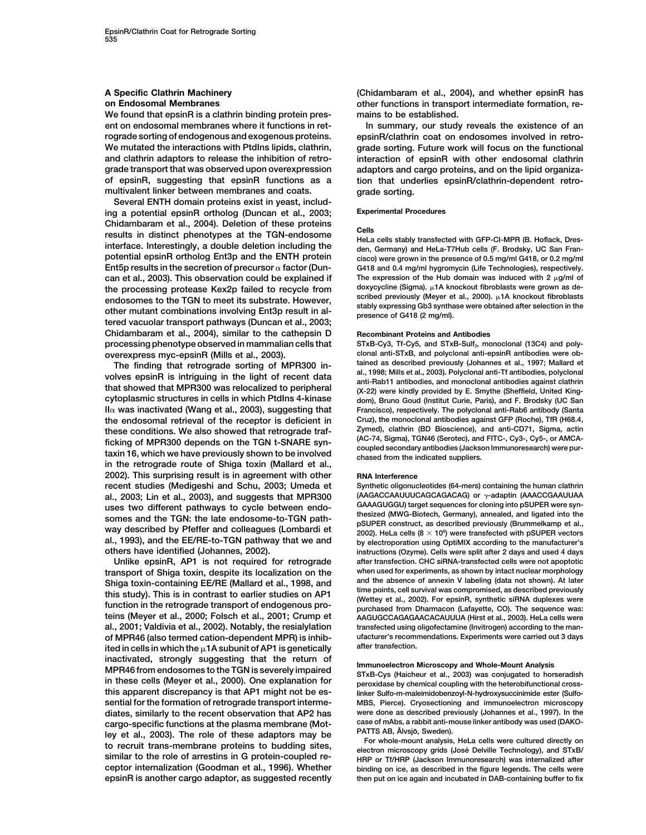**We found that epsinR is a clathrin binding protein pres- mains to be established. ent on endosomal membranes where it functions in ret- In summary, our study reveals the existence of an rograde sorting of endogenous and exogenous proteins. epsinR/clathrin coat on endosomes involved in retro-We mutated the interactions with PtdIns lipids, clathrin, grade sorting. Future work will focus on the functional and clathrin adaptors to release the inhibition of retro- interaction of epsinR with other endosomal clathrin grade transport that was observed upon overexpression adaptors and cargo proteins, and on the lipid organizaof epsinR, suggesting that epsinR functions as a tion that underlies epsinR/clathrin-dependent retromultivalent linker between membranes and coats. grade sorting.**

**Several ENTH domain proteins exist in yeast, includ-Experimental Procedures ing a potential epsinR ortholog (Duncan et al., 2003;** Chidambaram et al., 2004). Deletion of these proteins<br>results in distinct phenotypes at the TGN-endosome<br>interface. Interestingly, a double deletion including the<br>den, Germany) and HeLa-T7Hub cells (F. Brodsky, UC San Fran **potential epsinR ortholog Ent3p and the ENTH protein cisco) were grown in the presence of 0.5 mg/ml G418, or 0.2 mg/ml Ent5p results in the secretion of precursor factor (Dun- G418 and 0.4 mg/ml hygromycin (Life Technologies), respectively. can et al., 2003). This observation could be explained if** The expression of the Hub domain was induced with 2 μg/ml of the processing protesse Key 2n failed to recycle from doxycycline (Sigma), μ1A knockout fibroblasts the processing protease Kex2p failed to recycle from<br>endosomes to the TGN to meet its substrate. However,<br>other mutant combinations involving Ent3p result in al-<br>tered vacuolar transport pathways (Duncan et al., 2003;<br>tere **Chidambaram et al., 2004), similar to the cathepsin D Recombinant Proteins and Antibodies processing phenotype observed in mammalian cells that** STxB-Cy3, Tf-Cy5, and STxB-Sulf<sub>2</sub>, monoclonal (13C4) and poly-

The finding that retrograde sorting of MPR300 in-<br>volves epsinR is intriguing in the light of recent data<br>that showed that MPR300 was relocalized to peripheral<br>cytoplasmic structures in cells in which PtdIns 4-kinase<br>cytop II $\alpha$  was inactivated (Wang et al., 2003), suggesting that Francisco), respectively. The polyclonal anti-Rab6 antibody (Santa **Cruz), the monoclonal antibodies against GFP (Roche), TfR (H68.4, the endosomal retrieval of the receptor is deficient in** these conditions. We also showed that retrograde traf-<br>ficking of MPR300 depends on the TGN t-SNARE syn-<br>taxin 16, which we have previously shown to be involved<br>taxin 16, which we have previously shown to be involved<br>compl **in the retrograde route of Shiga toxin (Mallard et al., 2002). This surprising result is in agreement with other RNA Interference recent studies (Medigeshi and Schu, 2003; Umeda et Synthetic oligonucleotides (64-mers) containing the human clathrin** al., 2003; Lin et al., 2003), and suggests that MPR300 (AAGACCAAUUUCAGCAGACAG) or  $\gamma$ -adaptin (AAACCGAAUUAA<br>
CAAAGUGGU) target sequences for cloning into a surface to a surface that the contract sequences for cloning into uses two different pathways to cycle between endo-<br>somes and the TGN: the late endosome-to-TGN path-<br>way described by Pfeffer and colleagues (Lombardi et  $2002$ ). Hela cells (8 × 10<sup>6</sup>) were transfected providing the SUPE

transport of Shiga toxin, despite its localization on the when used for experiments, as shown by intact nuclear morphology<br>Shiga toxin-containing EE/RE (Mallard et al., 1998, and and the absence of annexin V labeling (data **teins (Meyer et al., 2000; Folsch et al., 2001; Crump et AAGUGCCAGAGAACACAUUUA (Hirst et al., 2003). HeLa cells were al., 2001; Valdivia et al., 2002). Notably, the resialylation transfected using oligofectamine (Invitrogen) according to the manof MPR46 (also termed cation-dependent MPR) is inhib- ufacturer's recommendations. Experiments were carried out 3 days after transfection. ited in cells in which the 1A subunit of AP1 is genetically** inactivated, strongly suggesting that the return of<br>MPR46 from endosomes to the TGN is severely impaired<br>in these cells (Meyer et al., 2000). One explanation for<br>peroxidase by chemical coupling with the heterobifunctional **this apparent discrepancy is that AP1 might not be es- linker Sulfo-m-maleimidobenzoyl-N-hydroxysuccinimide ester (Sulfosential for the formation of retrograde transport interme- MBS, Pierce). Cryosectioning and immunoelectron microscopy diates, similarly to the recent observation that AP2 has were done as described previously (Johannes et al., 1997). In the** cargo-specific functions at the plasma membrane (Mother Case of mAbs, a rabbit anti-mouse linker antibody was used (DAKO-<br>ley et al., 2003). The role of these adaptors may be<br>to recruit trans-membrane proteins to budding s similar to the role of arrestins in G protein-coupled re-<br>ceptor internalization (Goodman et al., 1996). Whether binding on ice, as described in the figure legends. The cells were **epsinR is another cargo adaptor, as suggested recently then put on ice again and incubated in DAB-containing buffer to fix**

**A Specific Clathrin Machinery (Chidambaram et al., 2004), and whether epsinR has on Endosomal Membranes other functions in transport intermediate formation, re-**

**overexpress myc-epsinR (Mills et al., 2003). clonal anti-STxB, and polyclonal anti-epsinR antibodies were obcytoplasmic structures in cells in which PtdIns 4-kinase dom), Bruno Goud (Institut Curie, Paris), and F. Brodsky (UC San**

(AAGACCAAUUUCAGCAGACAG) or  $\gamma$ -adaptin (AAACCGAAUUAA 2002). HeLa cells  $(8 \times 10^6)$  were transfected with pSUPER vectors **al., 1993), and the EE/RE-to-TGN pathway that we and by electroporation using OptiMIX according to the manufacturer's others have identified (Johannes, 2002). instructions (Ozyme). Cells were split after 2 days and used 4 days Unlike epsinR, AP1 is not required for retrograde after transfection. CHC siRNA-transfected cells were not apoptotic**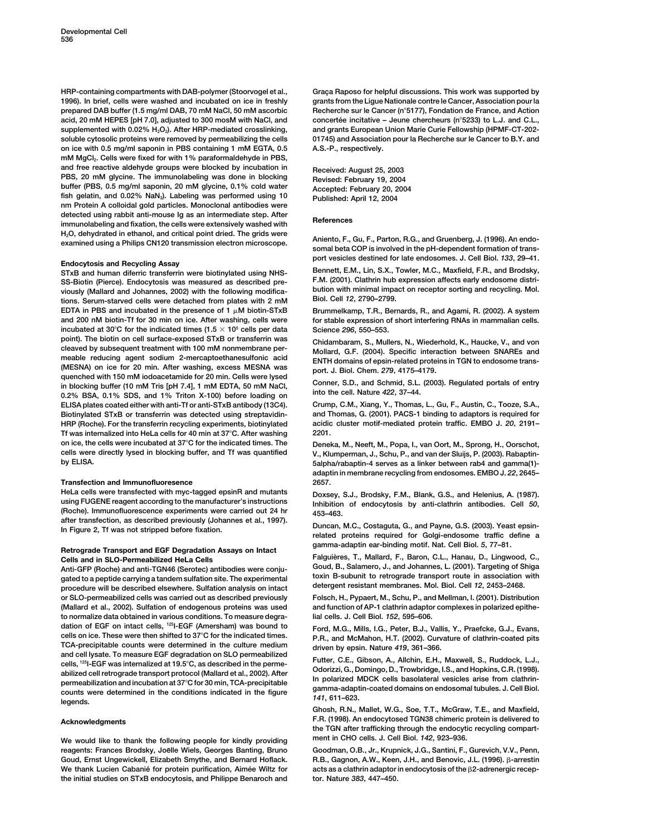**1996). In brief, cells were washed and incubated on ice in freshly grants from the Ligue Nationale contre le Cancer, Association pour la prepared DAB buffer (1.5 mg/ml DAB, 70 mM NaCl, 50 mM ascorbic Recherche sur le Cancer (n5177), Fondation de France, and Action** supplemented with 0.02% H<sub>2</sub>O<sub>2</sub>). After HRP-mediated crosslinking, and grants European Union Marie Curie Fellowship (HPMF-CT-202**soluble cytosolic proteins were removed by permeabilizing the cells 01745) and Association pour la Recherche sur le Cancer to B.Y. and on ice with 0.5 mg/ml saponin in PBS containing 1 mM EGTA, 0.5 A.S.-P., respectively.** mM MgCl<sub>2</sub>. Cells were fixed for with 1% paraformaldehyde in PBS, and free reactive aldehyde groups were blocked by incubation in Feceived: August 25, 2003<br>
PBS, 20 mM glycine. The immunolabeling was done in blocking February 19, 2004<br>
buffer (PBS, 0.5 mg/ml saponin, 20 mM glycine, 0.1% **nm Protein A colloidal gold particles. Monoclonal antibodies were** detected using rabbit anti-mouse Ig as an intermediate step. After<br>
immunolabeling and fixation, the cells were extensively washed with<br> **References** H<sub>2</sub>O, dehydrated in ethanol, and critical point dried. The grids were<br>examined using a Philips CN120 transmission electron microscope. Aniento, F., Gu, F., Parton, R.G., and Gruenberg, J. (1996). An endo-<br>somal beta COP i

 $STxB$  and human diferric transferrin were biotinylated using NHS-**F.M. (2001). Clathrin hub expression affects early endosome distri- SS-Biotin (Pierce). Endocytosis was measured as described pre**viously (Mallard and Johannes, 2002) with the following modifica-<br>tions, Sarum starred sollo ware detached from plates with 2 mM. Biol. Cell 12, 2790–2799. **Biol. Cell** *12***, 2790–2799. tions. Serum-starved cells were detached from plates with 2 mM EDTA in PBS and incubated in the presence of 1 M biotin-STxB Brummelkamp, T.R., Bernards, R., and Agami, R. (2002). A system and 200 nM biotin-Tf for 30 min on ice. After washing, cells were for stable expression of short interfering RNAs in mammalian cells. incubated at 30C for the indicated times (1.5 105 cells per data Science** *296***, 550–553. point). The biotin on cell surface-exposed STxB or transferrin was Chidambaram, S., Mullers, N., Wiederhold, K., Haucke, V., and von** cleaved by subsequent treatment with 100 mM nonmembrane per-<br>
meable reducing agent sodium 2-mercaptoethanesulfonic acid<br>
(MESNA) on ice for 20 min. After washing, excess MESNA was<br>
(MESNA) on ice for 20 min. After washing **ELISA plates coated either with anti-Tf or anti-STxB antibody (13C4). Crump, C.M., Xiang, Y., Thomas, L., Gu, F., Austin, C., Tooze, S.A., Biotinylated STxB or transferrin was detected using streptavidin- and Thomas, G. (2001). PACS-1 binding to adaptors is required for HRP (Roche). For the transferrin recycling experiments, biotinylated Tf was internalized into HeLa cells for 40 min at 37C. After washing 2201. on ice, the cells were incubated at 37C for the indicated times. The Deneka, M., Neeft, M., Popa, I., van Oort, M., Sprong, H., Oorschot, cells were directly lysed in blocking buffer, and Tf was quantified V., Klumperman, J., Schu, P., and van der Sluijs, P. (2003). Rabaptin-**

### **Transfection and Immunofluoresence 2657.**

HeLa cells were transfected with myc-tagged epsinR and mutants<br>using FUGENE reagent according to the manufacturer's instructions<br>(Roche). Immunofluorescence experiments were carried out 24 hr<br>after transfection, as describ

gated to a peptide carrying a tandem sulfation site. The experimental to a toxin B-subunit to retrograde transport route in association<br>procedure will be described elsewhere. Sulfation analysis on intact detergent resistan **or SLO-permeabilized cells was carried out as described previously Folsch, H., Pypaert, M., Schu, P., and Mellman, I. (2001). Distribution to normalize data obtained in various conditions. To measure degra- lial cells. J. Cell Biol.** *152***, 595–606.** dation of EGF on intact cells, <sup>12</sup>I-EGF (Amersham) was bound to Ford, M.G., Mills, I.G., Peter, B.J., Vallis, Y., Praefcke, G.J., Evans, The Constitution of the Mills, I.C., Peter, B.J., Vallis, Y., Praefcke, G.J., Evans, cells on ice. These were then shifted to 37°C for the indicated times.<br>
TCA-precipitable counts were determined in the culture medium<br>
and cell lysate. To measure EGF degradation on SLO permeabilized<br>  $\frac{1}{2}$ and cell lysate. To measure EGF degradation on SLO permeabilized<br>
cells, <sup>125</sup>l-EGF was internalized at 19.5°C, as described in the perme-<br>
abilized cell retrograde transport protocol (Mallard et al., 2002). After<br>
abilize

**We would like to thank the following people for kindly providing ment in CHO cells. J. Cell Biol.** *142***, 923–936.** reagents: Frances Brodsky, Joëlle Wiels, Georges Banting, Bruno Goodman, O.B., Jr., Krupnick, J.G., Santini, F., Gurevich, V.V., Penn, We thank Lucien Cabanié for protein purification, Aimée Wiltz for acts as a clathrin adaptor in endocytosis of the B2-adrenergic recep**the initial studies on STxB endocytosis, and Philippe Benaroch and tor. Nature** *383***, 447–450.**

HRP-containing compartments with DAB-polymer (Stoorvogel et al., Graça Raposo for helpful discussions. This work was supported by concertée incitative – Jeune chercheurs (n°5233) to L.J. and C.L.,

**port vesicles destined for late endosomes. J. Cell Biol.** *<sup>133</sup>***, 29–41. Endocytosis and Recycling Assay**

**by ELISA. 5alpha/rabaptin-4 serves as a linker between rab4 and gamma(1) adaptin in membrane recycling from endosomes. EMBO J.** *22***, 2645–**

In Figure 2, Tf was not stripped before fixation.<br>In Figure 2, Tf was not stripped before fixation.<br>In Figure 2, Tf was not stripped before fixation.<br>In Figure 2, Tf was not stripped before fixation. **gamma-adaptin ear-binding motif. Nat. Cell Biol.** *<sup>5</sup>***, 77–81. Retrograde Transport and EGF Degradation Assays on Intact**

**Cells and in SLO-Permeabilized HeLa Cells Falguie`res, T., Mallard, F., Baron, C.L., Hanau, D., Lingwood, C., Goud, B., Salamero, J., and Johannes, L. (2001). Targeting of Shiga Anti-GFP (Roche) and anti-TGN46 (Serotec) antibodies were conju-**

and function of AP-1 clathrin adaptor complexes in polarized epithe-

**Ghosh, R.N., Mallet, W.G., Soe, T.T., McGraw, T.E., and Maxfield, F.R. (1998). An endocytosed TGN38 chimeric protein is delivered to Acknowledgments the TGN after trafficking through the endocytic recycling compart-**

**Goud, Ernst Ungewickell, Elizabeth Smythe, and Bernard Hoflack. R.B., Gagnon, A.W., Keen, J.H., and Benovic, J.L. (1996). -arrestin**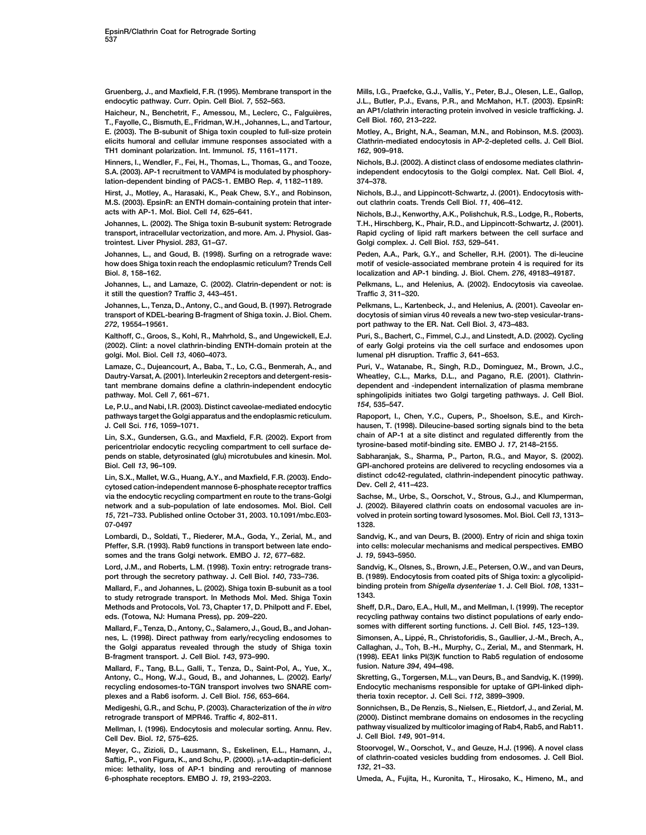**Gruenberg, J., and Maxfield, F.R. (1995). Membrane transport in the Mills, I.G., Praefcke, G.J., Vallis, Y., Peter, B.J., Olesen, L.E., Gallop, endocytic pathway. Curr. Opin. Cell Biol.** *7***, 552–563. J.L., Butler, P.J., Evans, P.R., and McMahon, H.T. (2003). EpsinR:**

**Cell Biol.** *160***, 213–222. T., Fayolle, C., Bismuth, E., Fridman, W.H., Johannes, L., and Tartour, E. (2003). The B-subunit of Shiga toxin coupled to full-size protein Motley, A., Bright, N.A., Seaman, M.N., and Robinson, M.S. (2003). elicits humoral and cellular immune responses associated with a Clathrin-mediated endocytosis in AP-2-depleted cells. J. Cell Biol. TH1 dominant polarization. Int. Immunol.** *15***, 1161–1171.** *162***, 909–918.**

**Hinners, I., Wendler, F., Fei, H., Thomas, L., Thomas, G., and Tooze, Nichols, B.J. (2002). A distinct class of endosome mediates clathrin-S.A. (2003). AP-1 recruitment to VAMP4 is modulated by phosphory- independent endocytosis to the Golgi complex. Nat. Cell Biol.** *4***, lation-dependent binding of PACS-1. EMBO Rep.** *4***, 1182–1189. 374–378.**

**Hirst, J., Motley, A., Harasaki, K., Peak Chew, S.Y., and Robinson, Nichols, B.J., and Lippincott-Schwartz, J. (2001). Endocytosis with-M.S. (2003). EpsinR: an ENTH domain-containing protein that inter- out clathrin coats. Trends Cell Biol.** *11***, 406–412. acts with AP-1. Mol. Biol. Cell** *14***, 625–641. Nichols, B.J., Kenworthy, A.K., Polishchuk, R.S., Lodge, R., Roberts,**

**transport, intracellular vectorization, and more. Am. J. Physiol. Gas- Rapid cycling of lipid raft markers between the cell surface and trointest. Liver Physiol.** *283***, G1–G7. Golgi complex. J. Cell Biol.** *153***, 529–541.**

**how does Shiga toxin reach the endoplasmic reticulum? Trends Cell motif of vesicle-associated membrane protein 4 is required for its Biol.** *8***, 158–162. localization and AP-1 binding. J. Biol. Chem.** *276***, 49183–49187.**

**it still the question? Traffic** *3***, 443–451. Traffic** *3***, 311–320.**

*272***, 19554–19561. port pathway to the ER. Nat. Cell Biol.** *3***, 473–483.**

**Kalthoff, C., Groos, S., Kohl, R., Mahrhold, S., and Ungewickell, E.J. Puri, S., Bachert, C., Fimmel, C.J., and Linstedt, A.D. (2002). Cycling golgi. Mol. Biol. Cell** *13***, 4060–4073. lumenal pH disruption. Traffic** *3***, 641–653.**

**Dautry-Varsat, A. (2001). Interleukin 2 receptors and detergent-resis- Wheatley, C.L., Marks, D.L., and Pagano, R.E. (2001). Clathrintant membrane domains define a clathrin-independent endocytic dependent and -independent internalization of plasma membrane**

*154***, 535–547. Le, P.U., and Nabi, I.R. (2003). Distinct caveolae-mediated endocytic pathways target the Golgi apparatus and the endoplasmic reticulum. Rapoport, I., Chen, Y.C., Cupers, P., Shoelson, S.E., and Kirch-**

**pericentriolar endocytic recycling compartment to cell surface de- tyrosine-based motif-binding site. EMBO J.** *17***, 2148–2155. pends on stable, detyrosinated (glu) microtubules and kinesin. Mol. Sabharanjak, S., Sharma, P., Parton, R.G., and Mayor, S. (2002). Biol. Cell** *13***, 96–109. GPI-anchored proteins are delivered to recycling endosomes via a**

**Dev. Cell** *2***, 411–423. cytosed cation-independent mannose 6-phosphate receptor traffics via the endocytic recycling compartment en route to the trans-Golgi Sachse, M., Urbe, S., Oorschot, V., Strous, G.J., and Klumperman, network and a sub-population of late endosomes. Mol. Biol. Cell J. (2002). Bilayered clathrin coats on endosomal vacuoles are in-***15***, 721–733. Published online October 31, 2003. 10.1091/mbc.E03- volved in protein sorting toward lysosomes. Mol. Biol. Cell** *13***, 1313– 07-0497 1328.**

**Pfeffer, S.R. (1993). Rab9 functions in transport between late endo- into cells: molecular mechanisms and medical perspectives. EMBO somes and the trans Golgi network. EMBO J.** *12***, 677–682. J.** *19***, 5943–5950.**

**Lord, J.M., and Roberts, L.M. (1998). Toxin entry: retrograde trans- Sandvig, K., Olsnes, S., Brown, J.E., Petersen, O.W., and van Deurs,** port through the secretory pathway. J. Cell Biol. 140, 733–736. B. (1989). Endocytosis from coated pits of Shiga toxin: a glycolipid-

**1343. to study retrograde transport. In Methods Mol. Med. Shiga Toxin Methods and Protocols, Vol. 73, Chapter 17, D. Philpott and F. Ebel, Sheff, D.R., Daro, E.A., Hull, M., and Mellman, I. (1999). The receptor**

**Mallard, F., Tenza, D., Antony, C., Salamero, J., Goud, B., and Johan- somes with different sorting functions. J. Cell Biol.** *145***, 123–139.** nes, L. (1998). Direct pathway from early/recycling endosomes to Simonsen, A., Lippé, R., Christoforidis, S., Gaullier, J.-M., Brech, A., **the Golgi apparatus revealed through the study of Shiga toxin Callaghan, J., Toh, B.-H., Murphy, C., Zerial, M., and Stenmark, H.**

**Mallard, F., Tang, B.L., Galli, T., Tenza, D., Saint-Pol, A., Yue, X., fusion. Nature** *394***, 494–498. Antony, C., Hong, W.J., Goud, B., and Johannes, L. (2002). Early/ Skretting, G., Torgersen, M.L., van Deurs, B., and Sandvig, K. (1999). recycling endosomes-to-TGN transport involves two SNARE com- Endocytic mechanisms responsible for uptake of GPI-linked diphplexes and a Rab6 isoform. J. Cell Biol.** *156***, 653–664. theria toxin receptor. J. Cell Sci.** *112***, 3899–3909.**

**Cell Dev. Biol. J. Cell Biol.** *149***, 901–914.** *12***, 575–625.**

**Saftig, P., von Figura, K., and Schu, P. (2000).**  $\mu$ 1A-adaptin-deficient of clathrin-<br>mice: lethelity, loss of AP-1 bioding and recouting of mannose. 132, 21-33. mice: lethality, loss of AP-1 binding and rerouting of mannose **6-phosphate receptors. EMBO J.** *19***, 2193–2203. Umeda, A., Fujita, H., Kuronita, T., Hirosako, K., Himeno, M., and**

Haicheur, N., Benchetrit, F., Amessou, M., Leclerc, C., Falguières, an AP1/clathrin interacting protein involved in vesicle trafficking. J.<br>**T. Favelle C. Bismuth E. Fridman W.H., Johannes L. and Tertour. Cell Biol. 160, 2** 

**Johannes, L. (2002). The Shiga toxin B-subunit system: Retrograde T.H., Hirschberg, K., Phair, R.D., and Lippincott-Schwartz, J. (2001).**

**Johannes, L., and Goud, B. (1998). Surfing on a retrograde wave: Peden, A.A., Park, G.Y., and Scheller, R.H. (2001). The di-leucine**

**Johannes, L., and Lamaze, C. (2002). Clatrin-dependent or not: is Pelkmans, L., and Helenius, A. (2002). Endocytosis via caveolae.**

**Johannes, L., Tenza, D., Antony, C., and Goud, B. (1997). Retrograde Pelkmans, L., Kartenbeck, J., and Helenius, A. (2001). Caveolar entransport of KDEL-bearing B-fragment of Shiga toxin. J. Biol. Chem. docytosis of simian virus 40 reveals a new two-step vesicular-trans-**

**(2002). Clint: a novel clathrin-binding ENTH-domain protein at the of early Golgi proteins via the cell surface and endosomes upon**

**Lamaze, C., Dujeancourt, A., Baba, T., Lo, C.G., Benmerah, A., and Puri, V., Watanabe, R., Singh, R.D., Dominguez, M., Brown, J.C., pathway. Mol. Cell** *7***, 661–671. sphingolipids initiates two Golgi targeting pathways. J. Cell Biol.**

**J. Cell Sci.** *116***, 1059–1071. hausen, T. (1998). Dileucine-based sorting signals bind to the beta chain of AP-1 at a site distinct and regulated differently from the Lin, S.X., Gundersen, G.G., and Maxfield, F.R. (2002). Export from**

**distinct cdc42-regulated, clathrin-independent pinocytic pathway. Lin, S.X., Mallet, W.G., Huang, A.Y., and Maxfield, F.R. (2003). Endo-**

Lombardi, D., Soldati, T., Riederer, M.A., Goda, Y., Zerial, M., and Sandvig, K., and van Deurs, B. (2000). Entry of ricin and shiga toxin

**Mallard, F., and Johannes, L. (2002). Shiga toxin B-subunit as a tool binding protein from** *Shigella dysenteriae* **1. J. Cell Biol.** *108***, 1331–**

**eds. (Totowa, NJ: Humana Press), pp. 209–220. recycling pathway contains two distinct populations of early endo-**

**B-fragment transport. J. Cell Biol.** *143***, 973–990. (1998). EEA1 links PI(3)K function to Rab5 regulation of endosome**

**Medigeshi, G.R., and Schu, P. (2003). Characterization of the** *in vitro* **Sonnichsen, B., De Renzis, S., Nielsen, E., Rietdorf, J., and Zerial, M. retrograde transport of MPR46. Traffic** *4***, 802–811. (2000). Distinct membrane domains on endosomes in the recycling Mellman, I. (1996). Endocytosis and molecular sorting. Annu. Rev. pathway visualized by multicolor imaging of Rab4, Rab5, and Rab11.**

**Meyer, C., Zizioli, D., Lausmann, S., Eskelinen, E.L., Hamann, J., Stoorvogel, W., Oorschot, V., and Geuze, H.J. (1996). A novel class**